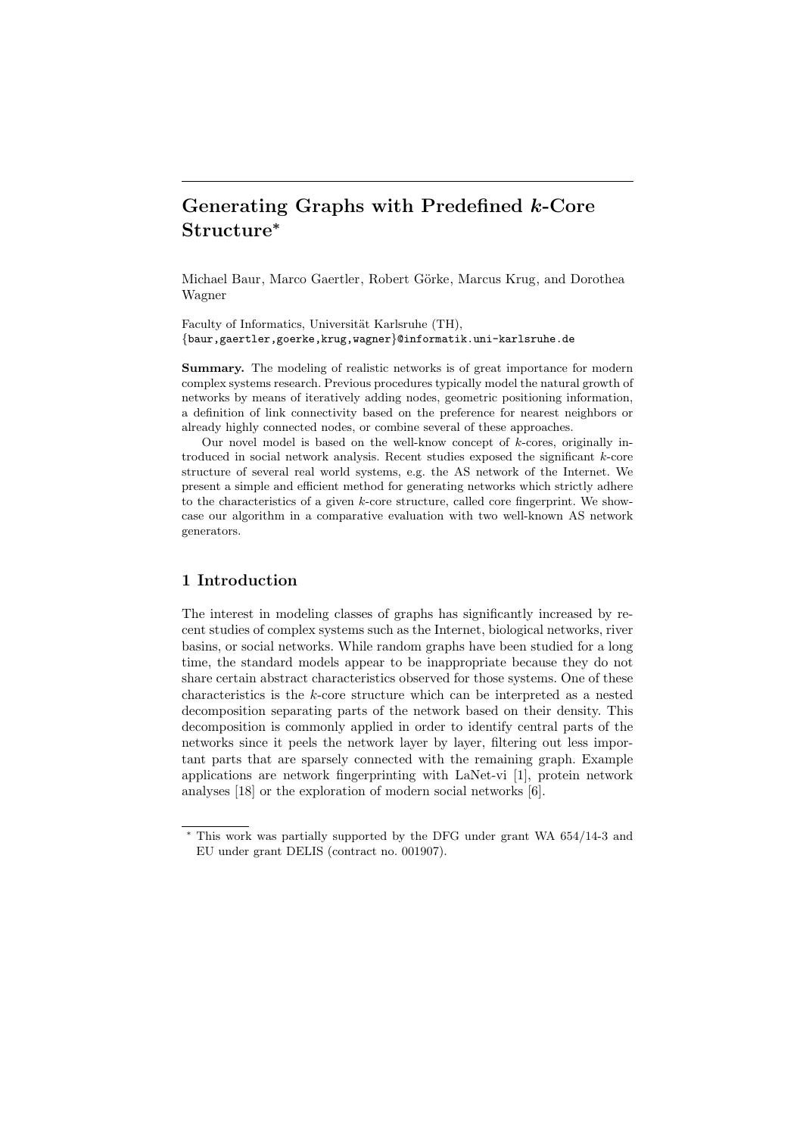# Generating Graphs with Predefined k-Core Structure<sup>∗</sup>

Michael Baur, Marco Gaertler, Robert Görke, Marcus Krug, and Dorothea Wagner

Faculty of Informatics, Universität Karlsruhe (TH), {baur,gaertler,goerke,krug,wagner}@informatik.uni-karlsruhe.de

Summary. The modeling of realistic networks is of great importance for modern complex systems research. Previous procedures typically model the natural growth of networks by means of iteratively adding nodes, geometric positioning information, a definition of link connectivity based on the preference for nearest neighbors or already highly connected nodes, or combine several of these approaches.

Our novel model is based on the well-know concept of  $k$ -cores, originally introduced in social network analysis. Recent studies exposed the significant  $k$ -core structure of several real world systems, e.g. the AS network of the Internet. We present a simple and efficient method for generating networks which strictly adhere to the characteristics of a given  $k$ -core structure, called core fingerprint. We showcase our algorithm in a comparative evaluation with two well-known AS network generators.

# 1 Introduction

The interest in modeling classes of graphs has significantly increased by recent studies of complex systems such as the Internet, biological networks, river basins, or social networks. While random graphs have been studied for a long time, the standard models appear to be inappropriate because they do not share certain abstract characteristics observed for those systems. One of these characteristics is the k-core structure which can be interpreted as a nested decomposition separating parts of the network based on their density. This decomposition is commonly applied in order to identify central parts of the networks since it peels the network layer by layer, filtering out less important parts that are sparsely connected with the remaining graph. Example applications are network fingerprinting with LaNet-vi [1], protein network analyses [18] or the exploration of modern social networks [6].

<sup>∗</sup> This work was partially supported by the DFG under grant WA 654/14-3 and EU under grant DELIS (contract no. 001907).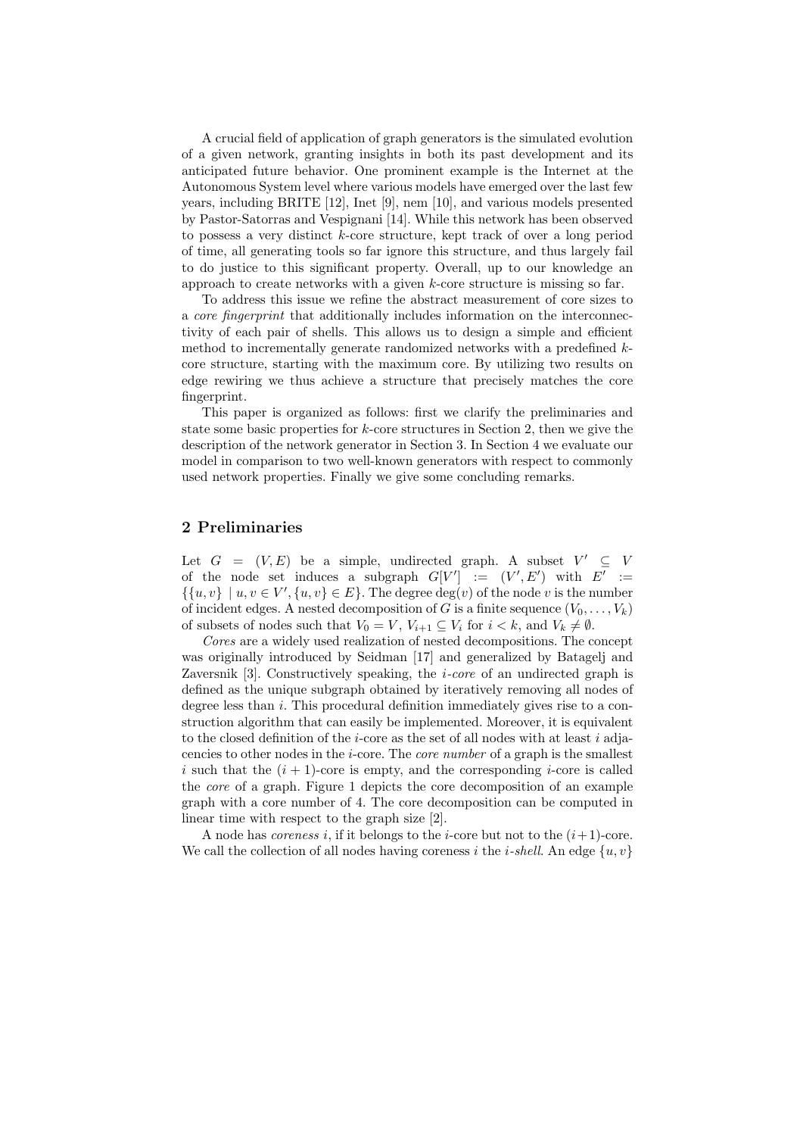A crucial field of application of graph generators is the simulated evolution of a given network, granting insights in both its past development and its anticipated future behavior. One prominent example is the Internet at the Autonomous System level where various models have emerged over the last few years, including BRITE [12], Inet [9], nem [10], and various models presented by Pastor-Satorras and Vespignani [14]. While this network has been observed to possess a very distinct k-core structure, kept track of over a long period of time, all generating tools so far ignore this structure, and thus largely fail to do justice to this significant property. Overall, up to our knowledge an approach to create networks with a given k-core structure is missing so far.

To address this issue we refine the abstract measurement of core sizes to a core fingerprint that additionally includes information on the interconnectivity of each pair of shells. This allows us to design a simple and efficient method to incrementally generate randomized networks with a predefined kcore structure, starting with the maximum core. By utilizing two results on edge rewiring we thus achieve a structure that precisely matches the core fingerprint.

This paper is organized as follows: first we clarify the preliminaries and state some basic properties for  $k$ -core structures in Section 2, then we give the description of the network generator in Section 3. In Section 4 we evaluate our model in comparison to two well-known generators with respect to commonly used network properties. Finally we give some concluding remarks.

# 2 Preliminaries

Let  $G = (V, E)$  be a simple, undirected graph. A subset  $V' \subseteq V$ of the node set induces a subgraph  $G[V'] := (V', E')$  with  $E' :=$  $\{ \{u, v\} \mid u, v \in V', \{u, v\} \in E \}.$  The degree  $deg(v)$  of the node v is the number of incident edges. A nested decomposition of G is a finite sequence  $(V_0, \ldots, V_k)$ of subsets of nodes such that  $V_0 = V$ ,  $V_{i+1} \subseteq V_i$  for  $i < k$ , and  $V_k \neq \emptyset$ .

Cores are a widely used realization of nested decompositions. The concept was originally introduced by Seidman [17] and generalized by Batagelj and Zaversnik [3]. Constructively speaking, the *i-core* of an undirected graph is defined as the unique subgraph obtained by iteratively removing all nodes of degree less than i. This procedural definition immediately gives rise to a construction algorithm that can easily be implemented. Moreover, it is equivalent to the closed definition of the *i*-core as the set of all nodes with at least *i* adjacencies to other nodes in the i-core. The core number of a graph is the smallest i such that the  $(i + 1)$ -core is empty, and the corresponding i-core is called the core of a graph. Figure 1 depicts the core decomposition of an example graph with a core number of 4. The core decomposition can be computed in linear time with respect to the graph size [2].

A node has *coreness* i, if it belongs to the *i*-core but not to the  $(i+1)$ -core. We call the collection of all nodes having coreness i the *i-shell*. An edge  $\{u, v\}$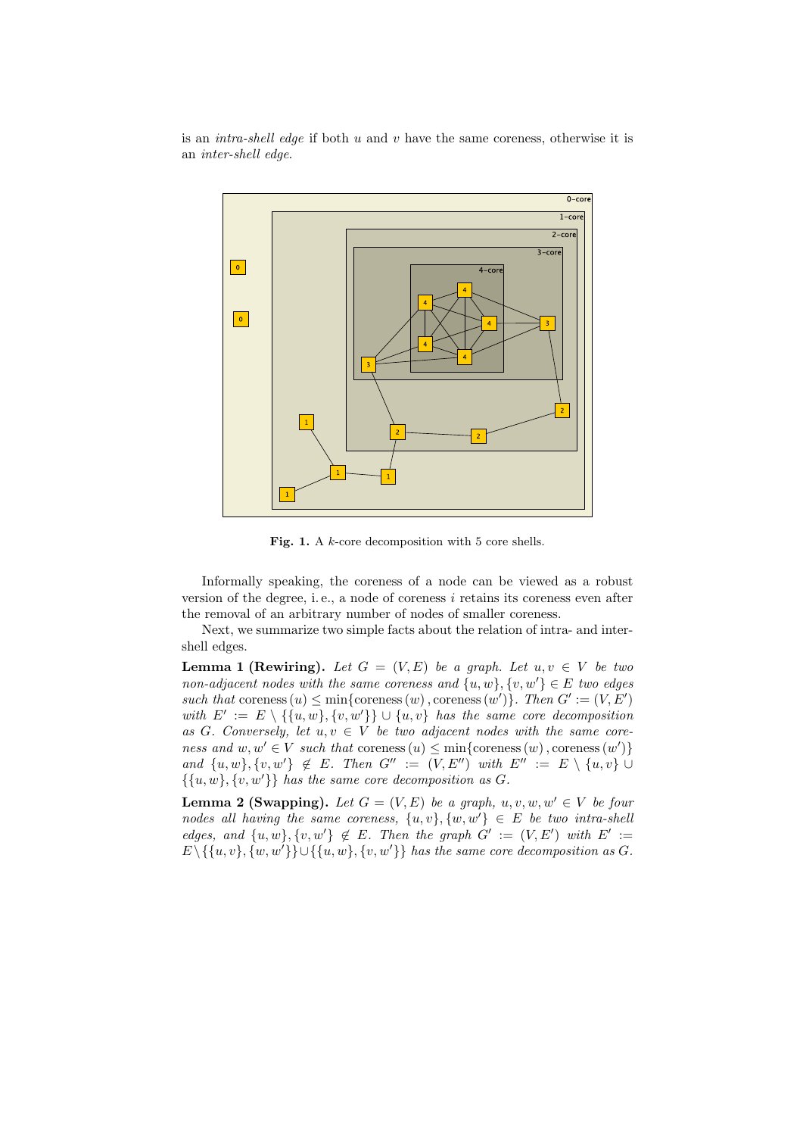is an *intra-shell edge* if both  $u$  and  $v$  have the same coreness, otherwise it is an inter-shell edge.



Fig. 1. A k-core decomposition with 5 core shells.

Informally speaking, the coreness of a node can be viewed as a robust version of the degree, i.e., a node of coreness  $i$  retains its coreness even after the removal of an arbitrary number of nodes of smaller coreness.

Next, we summarize two simple facts about the relation of intra- and intershell edges.

**Lemma 1 (Rewiring).** Let  $G = (V, E)$  be a graph. Let  $u, v \in V$  be two non-adjacent nodes with the same coreness and  $\{u, w\}$ ,  $\{v, w'\} \in E$  two edges such that coreness  $(u) \leq \min{\{ \text{oreness}(w) \}, \text{oreness}(w') \}.$  Then  $G' := (V, E')$ with  $E' := E \setminus {\{u, w\}, \{v, w'\}\}\cup {u, v}$  has the same core decomposition as G. Conversely, let  $u, v \in V$  be two adjacent nodes with the same coreness and  $w, w' \in V$  such that coreness  $(u) \leq \min{\{\text{coreness}(w), \text{coreness}(w')\}}$ and  $\{u, w\}$ ,  $\{v, w'\}$   $\notin E$ . Then  $G'' := (V, E'')$  with  $E'' := E \setminus \{u, v\}$  $\{\{u, w\}, \{v, w'\}\}\$  has the same core decomposition as G.

**Lemma 2 (Swapping).** Let  $G = (V, E)$  be a graph,  $u, v, w, w' \in V$  be four nodes all having the same coreness,  $\{u, v\}$ ,  $\{w, w'\} \in E$  be two intra-shell edges, and  $\{u, w\}$ ,  $\{v, w'\} \notin E$ . Then the graph  $G' := (V, E')$  with  $E' :=$  $E \setminus \{\{u, v\}, \{w, w'\}\} \cup \{\{u, w\}, \{v, w'\}\}\$ has the same core decomposition as G.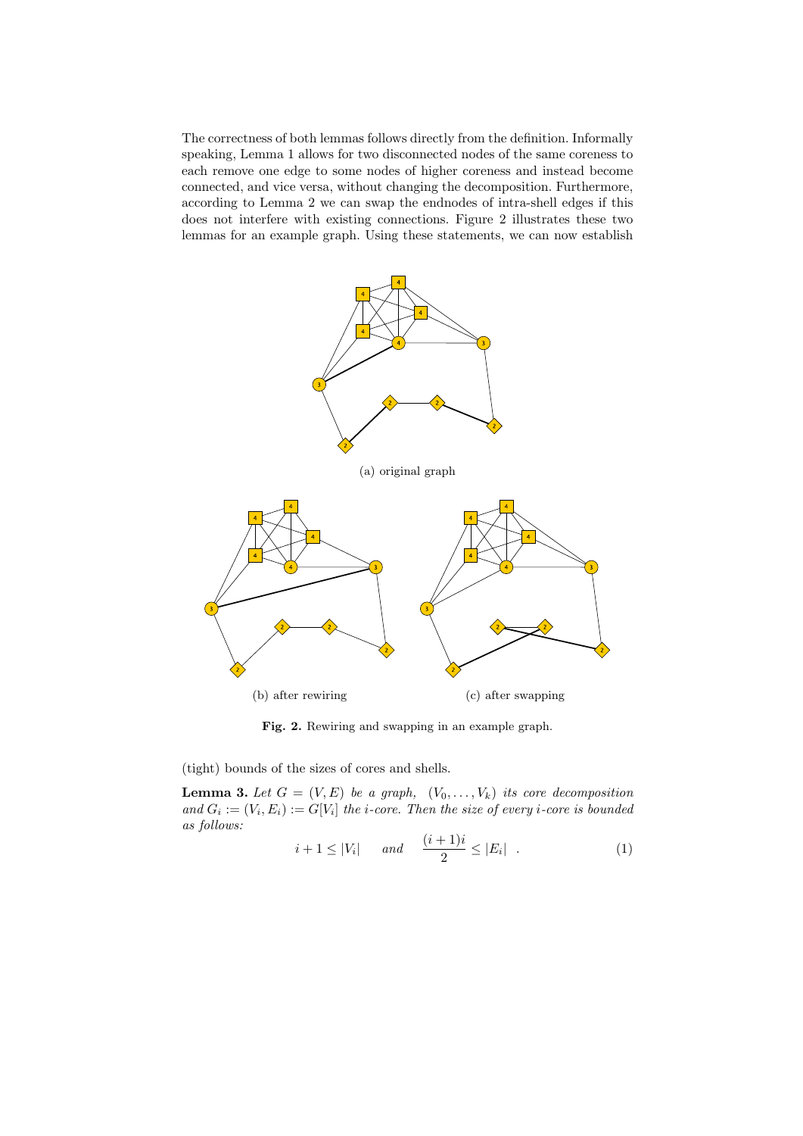The correctness of both lemmas follows directly from the definition. Informally speaking, Lemma 1 allows for two disconnected nodes of the same coreness to each remove one edge to some nodes of higher coreness and instead become connected, and vice versa, without changing the decomposition. Furthermore, according to Lemma 2 we can swap the endnodes of intra-shell edges if this does not interfere with existing connections. Figure 2 illustrates these two lemmas for an example graph. Using these statements, we can now establish



Fig. 2. Rewiring and swapping in an example graph.

(tight) bounds of the sizes of cores and shells.

**Lemma 3.** Let  $G = (V, E)$  be a graph,  $(V_0, \ldots, V_k)$  its core decomposition and  $G_i := (V_i, E_i) := G[V_i]$  the *i*-core. Then the size of every *i*-core is bounded as follows:

$$
i+1 \le |V_i| \quad \text{and} \quad \frac{(i+1)i}{2} \le |E_i| \quad . \tag{1}
$$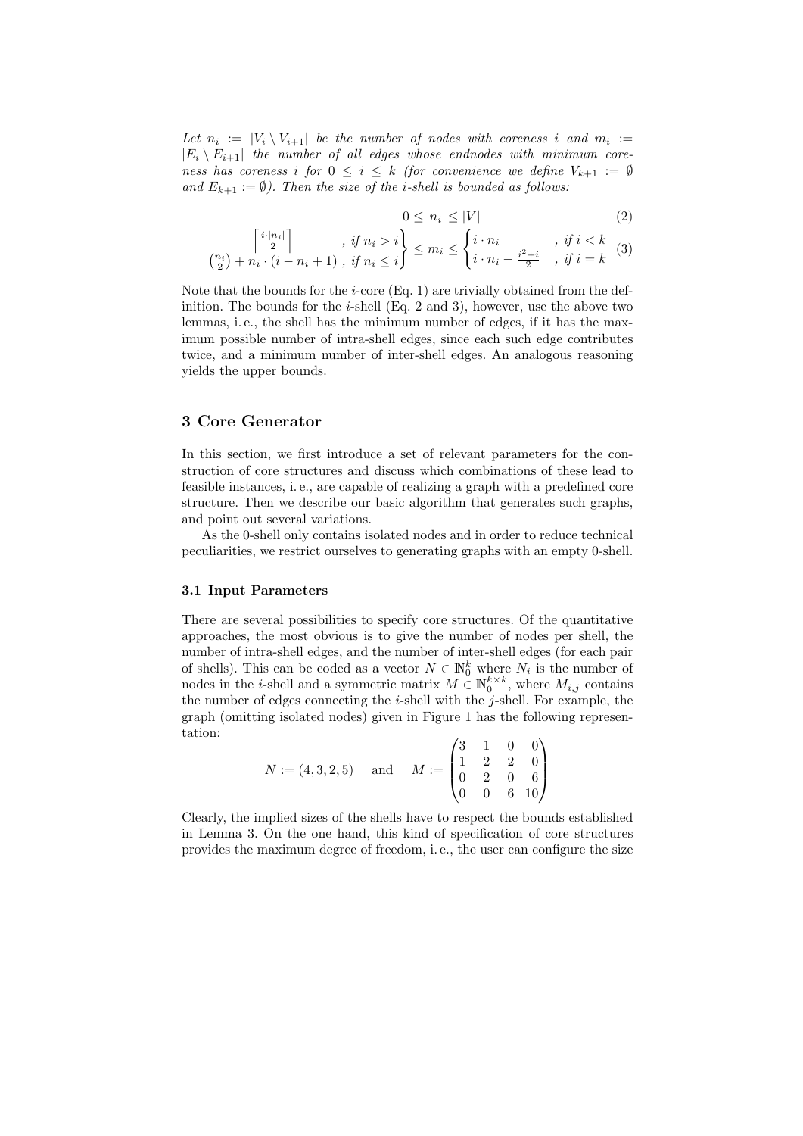Let  $n_i := |V_i \setminus V_{i+1}|$  be the number of nodes with coreness i and  $m_i :=$  $|E_i \setminus E_{i+1}|$  the number of all edges whose endnodes with minimum coreness has coreness i for  $0 \leq i \leq k$  (for convenience we define  $V_{k+1} := \emptyset$ and  $E_{k+1} := \emptyset$ . Then the size of the *i*-shell is bounded as follows:

$$
0 \le n_i \le |V| \tag{2}
$$

$$
\begin{array}{c}\n\left[\frac{i\cdot |n_i|}{2}\right] \quad , \text{ if } n_i > i \\
\left(\frac{n_i}{2}\right) + n_i \cdot \left(i - n_i + 1\right) \quad , \text{ if } n_i \leq i\n\end{array}\n\right\} \leq m_i \leq \begin{cases}\ni \cdot n_i & , \text{ if } i < k \\
i \cdot n_i - \frac{i^2 + i}{2} & , \text{ if } i = k\n\end{cases}\n\tag{3}
$$

Note that the bounds for the *i*-core  $(Eq. 1)$  are trivially obtained from the definition. The bounds for the  $i$ -shell (Eq. 2 and 3), however, use the above two lemmas, i. e., the shell has the minimum number of edges, if it has the maximum possible number of intra-shell edges, since each such edge contributes twice, and a minimum number of inter-shell edges. An analogous reasoning yields the upper bounds.

# 3 Core Generator

In this section, we first introduce a set of relevant parameters for the construction of core structures and discuss which combinations of these lead to feasible instances, i. e., are capable of realizing a graph with a predefined core structure. Then we describe our basic algorithm that generates such graphs, and point out several variations.

As the 0-shell only contains isolated nodes and in order to reduce technical peculiarities, we restrict ourselves to generating graphs with an empty 0-shell.

#### 3.1 Input Parameters

There are several possibilities to specify core structures. Of the quantitative approaches, the most obvious is to give the number of nodes per shell, the number of intra-shell edges, and the number of inter-shell edges (for each pair of shells). This can be coded as a vector  $N \in \mathbb{N}_0^k$  where  $N_i$  is the number of nodes in the *i*-shell and a symmetric matrix  $M \in \mathbb{N}_0^{k \times k}$ , where  $M_{i,j}$  contains the number of edges connecting the  $i$ -shell with the  $j$ -shell. For example, the graph (omitting isolated nodes) given in Figure 1 has the following representation:

| $N := (4,3,2,5)$ and $M := \begin{pmatrix} 3 & 1 & 0 & 0 \\ 1 & 2 & 2 & 0 \\ 0 & 2 & 0 & 6 \\ 0 & 0 & 6 & 10 \end{pmatrix}$ |  |  |  |  |
|-----------------------------------------------------------------------------------------------------------------------------|--|--|--|--|
|                                                                                                                             |  |  |  |  |
|                                                                                                                             |  |  |  |  |
|                                                                                                                             |  |  |  |  |

Clearly, the implied sizes of the shells have to respect the bounds established in Lemma 3. On the one hand, this kind of specification of core structures provides the maximum degree of freedom, i. e., the user can configure the size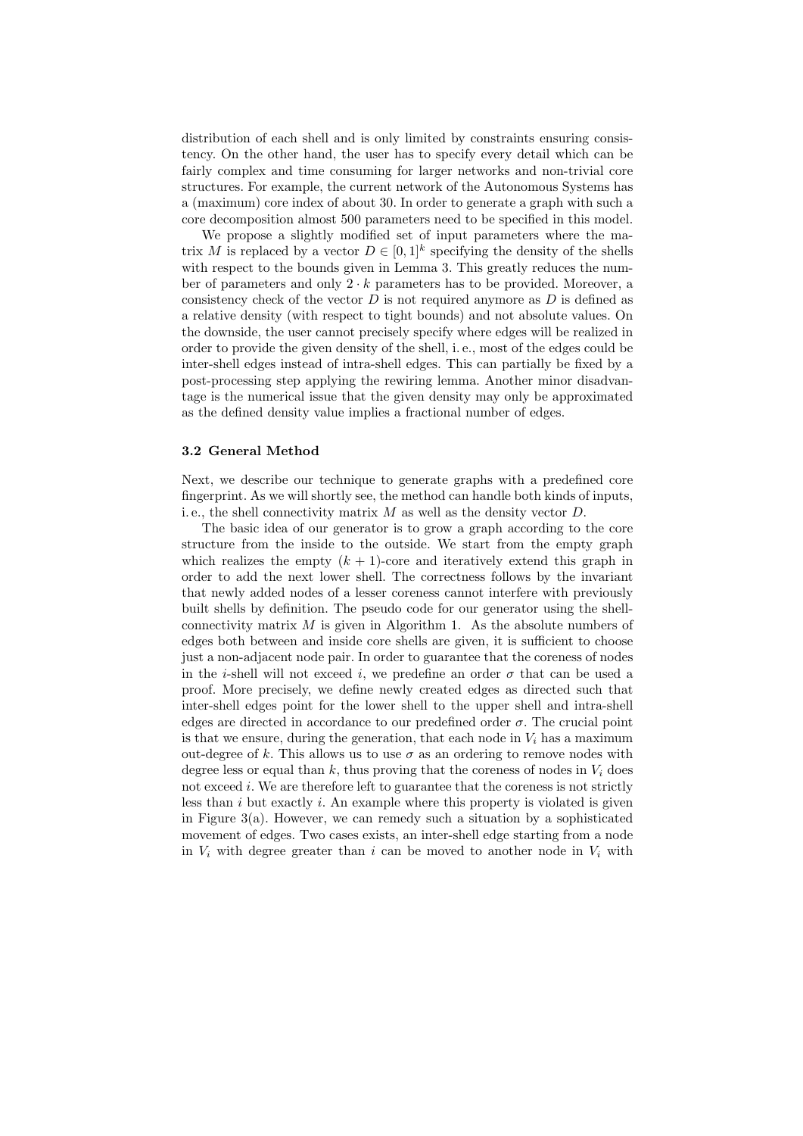distribution of each shell and is only limited by constraints ensuring consistency. On the other hand, the user has to specify every detail which can be fairly complex and time consuming for larger networks and non-trivial core structures. For example, the current network of the Autonomous Systems has a (maximum) core index of about 30. In order to generate a graph with such a core decomposition almost 500 parameters need to be specified in this model.

We propose a slightly modified set of input parameters where the matrix M is replaced by a vector  $D \in [0,1]^k$  specifying the density of the shells with respect to the bounds given in Lemma 3. This greatly reduces the number of parameters and only  $2 \cdot k$  parameters has to be provided. Moreover, a consistency check of the vector  $D$  is not required anymore as  $D$  is defined as a relative density (with respect to tight bounds) and not absolute values. On the downside, the user cannot precisely specify where edges will be realized in order to provide the given density of the shell, i. e., most of the edges could be inter-shell edges instead of intra-shell edges. This can partially be fixed by a post-processing step applying the rewiring lemma. Another minor disadvantage is the numerical issue that the given density may only be approximated as the defined density value implies a fractional number of edges.

# 3.2 General Method

Next, we describe our technique to generate graphs with a predefined core fingerprint. As we will shortly see, the method can handle both kinds of inputs, i.e., the shell connectivity matrix  $M$  as well as the density vector  $D$ .

The basic idea of our generator is to grow a graph according to the core structure from the inside to the outside. We start from the empty graph which realizes the empty  $(k + 1)$ -core and iteratively extend this graph in order to add the next lower shell. The correctness follows by the invariant that newly added nodes of a lesser coreness cannot interfere with previously built shells by definition. The pseudo code for our generator using the shellconnectivity matrix  $M$  is given in Algorithm 1. As the absolute numbers of edges both between and inside core shells are given, it is sufficient to choose just a non-adjacent node pair. In order to guarantee that the coreness of nodes in the *i*-shell will not exceed *i*, we predefine an order  $\sigma$  that can be used a proof. More precisely, we define newly created edges as directed such that inter-shell edges point for the lower shell to the upper shell and intra-shell edges are directed in accordance to our predefined order  $\sigma$ . The crucial point is that we ensure, during the generation, that each node in  $V_i$  has a maximum out-degree of k. This allows us to use  $\sigma$  as an ordering to remove nodes with degree less or equal than k, thus proving that the coreness of nodes in  $V_i$  does not exceed  $i$ . We are therefore left to guarantee that the coreness is not strictly less than  $i$  but exactly  $i$ . An example where this property is violated is given in Figure  $3(a)$ . However, we can remedy such a situation by a sophisticated movement of edges. Two cases exists, an inter-shell edge starting from a node in  $V_i$  with degree greater than i can be moved to another node in  $V_i$  with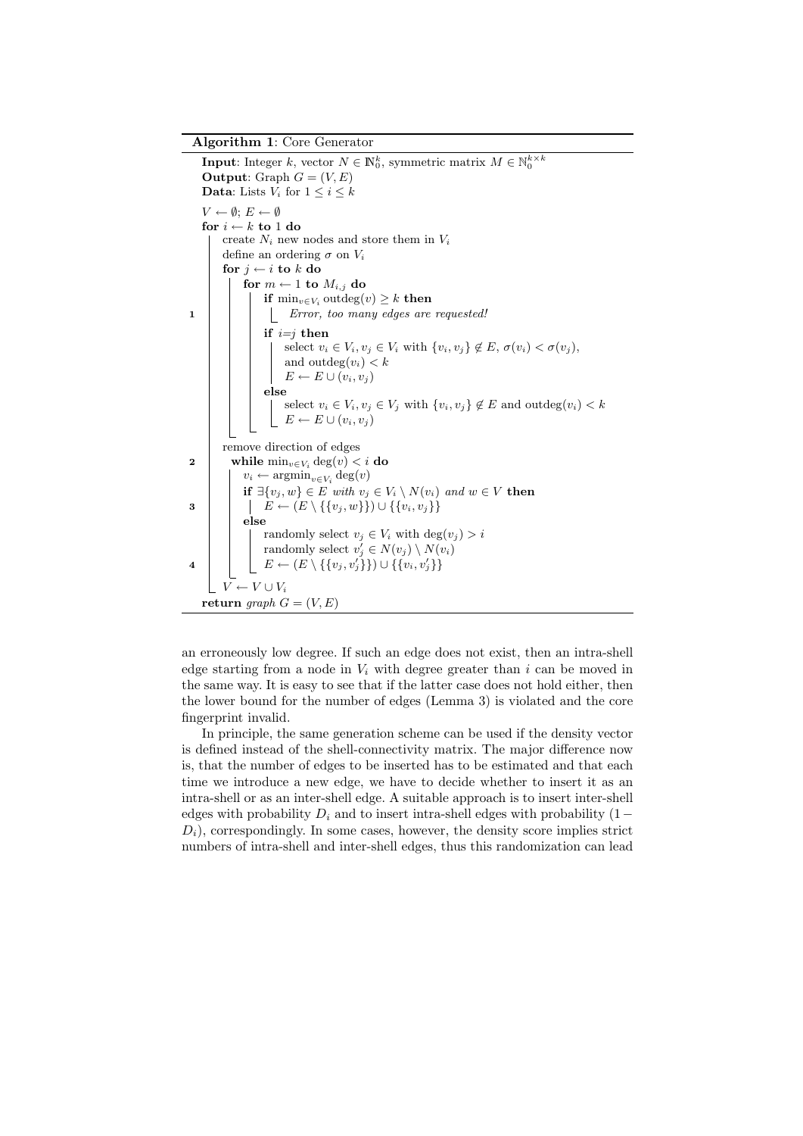**Input:** Integer  $k$ , vector  $N \in \mathbb{N}_0^k$ , symmetric matrix  $M \in \mathbb{N}_0^{k \times k}$ **Output:** Graph  $G = (V, E)$ **Data:** Lists  $V_i$  for  $1 \leq i \leq k$  $V \leftarrow \emptyset$ ;  $E \leftarrow \emptyset$ for  $i \leftarrow k$  to 1 do create  $N_i$  new nodes and store them in  $V_i$ define an ordering  $\sigma$  on  $V_i$ for  $i \leftarrow i$  to k do for  $m \leftarrow 1$  to  $M_{i,j}$  do if  $\min_{v \in V_i} \text{outdeg}(v) \geq k$  then 1 | | | Error, too many edges are requested! if  $i=j$  then select  $v_i \in V_i$ ,  $v_j \in V_i$  with  $\{v_i, v_j\} \notin E$ ,  $\sigma(v_i) < \sigma(v_j)$ , and outdeg $(v_i) < k$  $E \leftarrow E \cup (v_i, v_j)$ else select  $v_i \in V_i$ ,  $v_j \in V_j$  with  $\{v_i, v_j\} \notin E$  and  $outdeg(v_i) < k$  $E \leftarrow E \cup (v_i, v_j)$ remove direction of edges 2 while  $\min_{v \in V_i} \deg(v) < i$  do  $v_i \leftarrow \operatorname{argmin}_{v \in V_i} \deg(v)$ if  $\exists \{v_j, w\} \in E$  with  $v_j \in V_i \setminus N(v_i)$  and  $w \in V$  then 3  $\Big| \Big| E \leftarrow (E \setminus \{\{v_j, w\}\}) \cup \{\{v_i, v_j\}\}\$ else randomly select  $v_j \in V_i$  with  $\deg(v_j) > i$ randomly select  $v'_j \in N(v_j) \setminus N(v_i)$  $\begin{array}{|c|c|} \hline \texttt{4} & \texttt{ \end{array} } \begin{array}{|c|c|} \hline \texttt{4} & E \leftarrow (E \setminus \{\{v_{j}, v_{j}^{ \prime}\}\}\big) \cup \{\{v_{i}, v_{j}^{ \prime}\}\}\hline \end{array}$  $V \leftarrow V \cup V_i$ return graph  $G = (V, E)$ 

an erroneously low degree. If such an edge does not exist, then an intra-shell edge starting from a node in  $V_i$  with degree greater than i can be moved in the same way. It is easy to see that if the latter case does not hold either, then the lower bound for the number of edges (Lemma 3) is violated and the core fingerprint invalid.

In principle, the same generation scheme can be used if the density vector is defined instead of the shell-connectivity matrix. The major difference now is, that the number of edges to be inserted has to be estimated and that each time we introduce a new edge, we have to decide whether to insert it as an intra-shell or as an inter-shell edge. A suitable approach is to insert inter-shell edges with probability  $D_i$  and to insert intra-shell edges with probability (1 –  $D<sub>i</sub>$ ), correspondingly. In some cases, however, the density score implies strict numbers of intra-shell and inter-shell edges, thus this randomization can lead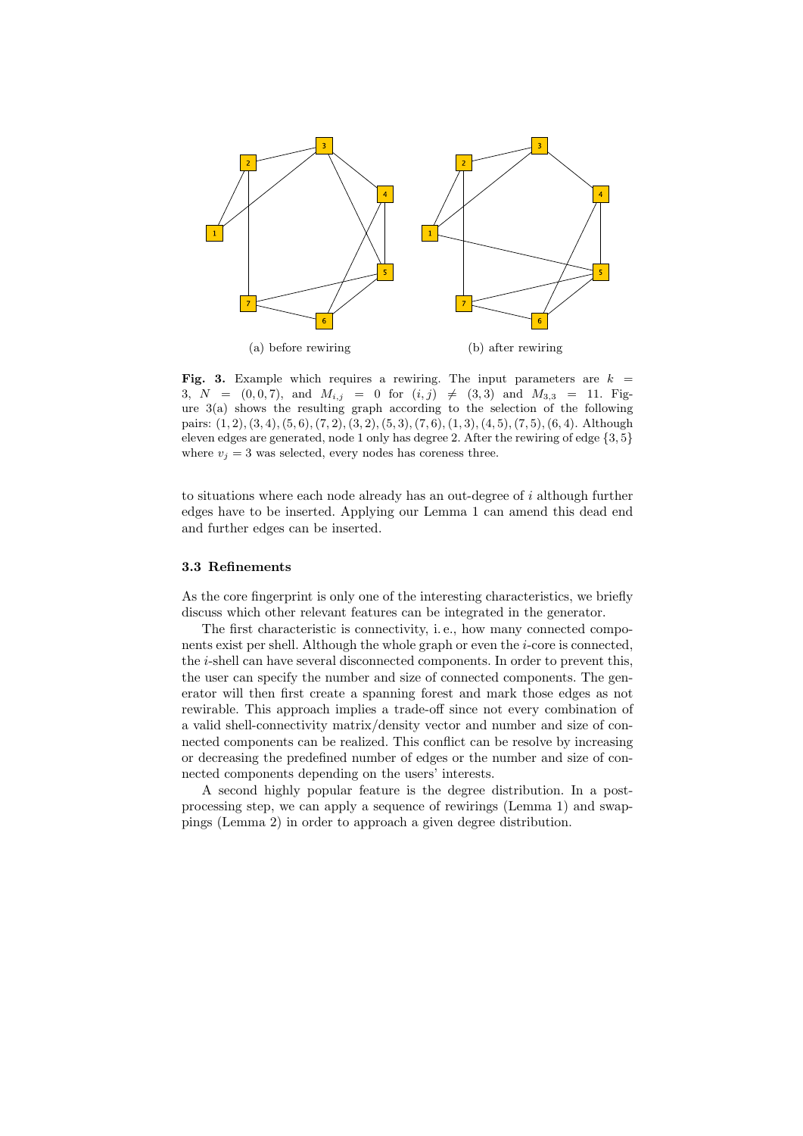

Fig. 3. Example which requires a rewiring. The input parameters are  $k =$ 3,  $N = (0, 0, 7)$ , and  $M_{i,j} = 0$  for  $(i, j) \neq (3, 3)$  and  $M_{3,3} = 11$ . Figure  $3(a)$  shows the resulting graph according to the selection of the following pairs:  $(1, 2), (3, 4), (5, 6), (7, 2), (3, 2), (5, 3), (7, 6), (1, 3), (4, 5), (7, 5), (6, 4).$  Although eleven edges are generated, node 1 only has degree 2. After the rewiring of edge  $\{3, 5\}$ where  $v_i = 3$  was selected, every nodes has coreness three.

to situations where each node already has an out-degree of i although further edges have to be inserted. Applying our Lemma 1 can amend this dead end and further edges can be inserted.

#### 3.3 Refinements

As the core fingerprint is only one of the interesting characteristics, we briefly discuss which other relevant features can be integrated in the generator.

The first characteristic is connectivity, i. e., how many connected components exist per shell. Although the whole graph or even the i-core is connected, the i-shell can have several disconnected components. In order to prevent this, the user can specify the number and size of connected components. The generator will then first create a spanning forest and mark those edges as not rewirable. This approach implies a trade-off since not every combination of a valid shell-connectivity matrix/density vector and number and size of connected components can be realized. This conflict can be resolve by increasing or decreasing the predefined number of edges or the number and size of connected components depending on the users' interests.

A second highly popular feature is the degree distribution. In a postprocessing step, we can apply a sequence of rewirings (Lemma 1) and swappings (Lemma 2) in order to approach a given degree distribution.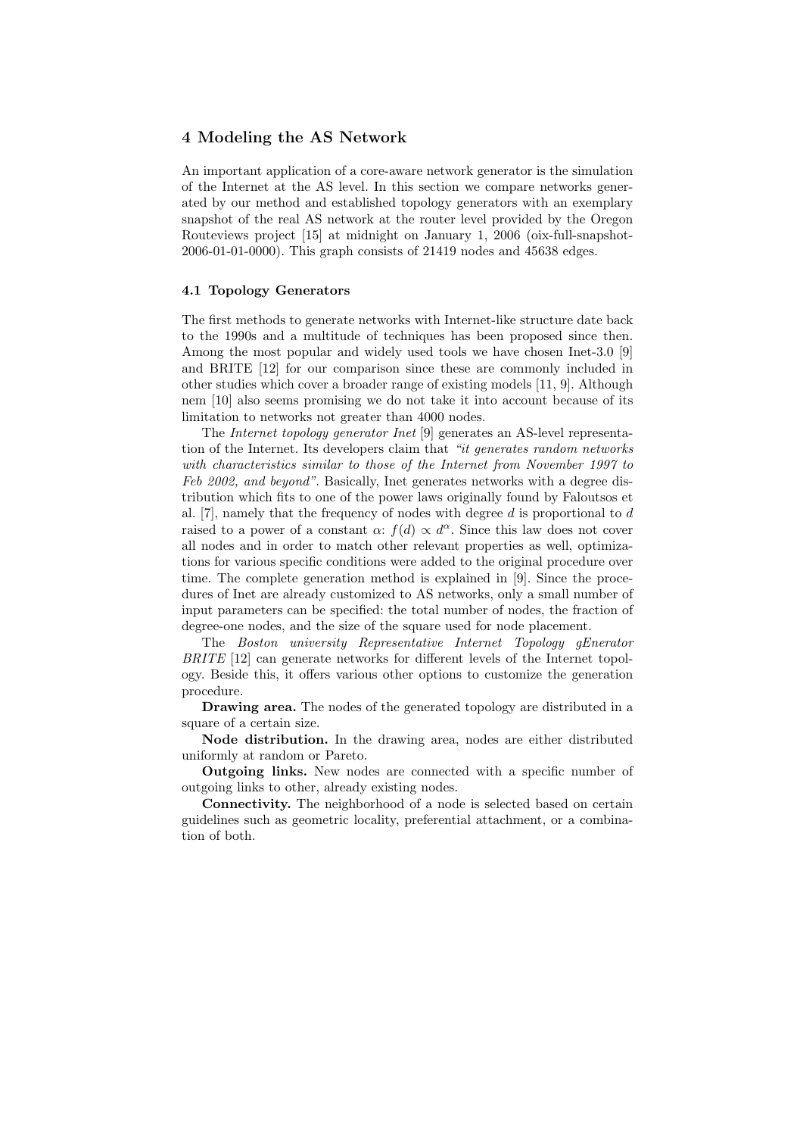# 4 Modeling the AS Network

An important application of a core-aware network generator is the simulation of the Internet at the AS level. In this section we compare networks generated by our method and established topology generators with an exemplary snapshot of the real AS network at the router level provided by the Oregon Routeviews project [15] at midnight on January 1, 2006 (oix-full-snapshot-2006-01-01-0000). This graph consists of 21419 nodes and 45638 edges.

#### 4.1 Topology Generators

The first methods to generate networks with Internet-like structure date back to the 1990s and a multitude of techniques has been proposed since then. Among the most popular and widely used tools we have chosen Inet-3.0 [9] and BRITE [12] for our comparison since these are commonly included in other studies which cover a broader range of existing models [11, 9]. Although nem [10] also seems promising we do not take it into account because of its limitation to networks not greater than 4000 nodes.

The Internet topology generator Inet [9] generates an AS-level representation of the Internet. Its developers claim that "it generates random networks with characteristics similar to those of the Internet from November 1997 to Feb 2002, and beyond". Basically, Inet generates networks with a degree distribution which fits to one of the power laws originally found by Faloutsos et al. [7], namely that the frequency of nodes with degree  $d$  is proportional to  $d$ raised to a power of a constant  $\alpha$ :  $f(d) \propto d^{\alpha}$ . Since this law does not cover all nodes and in order to match other relevant properties as well, optimizations for various specific conditions were added to the original procedure over time. The complete generation method is explained in [9]. Since the procedures of Inet are already customized to AS networks, only a small number of input parameters can be specified: the total number of nodes, the fraction of degree-one nodes, and the size of the square used for node placement.

The Boston university Representative Internet Topology gEnerator BRITE [12] can generate networks for different levels of the Internet topology. Beside this, it offers various other options to customize the generation procedure.

Drawing area. The nodes of the generated topology are distributed in a square of a certain size.

Node distribution. In the drawing area, nodes are either distributed uniformly at random or Pareto.

Outgoing links. New nodes are connected with a specific number of outgoing links to other, already existing nodes.

Connectivity. The neighborhood of a node is selected based on certain guidelines such as geometric locality, preferential attachment, or a combination of both.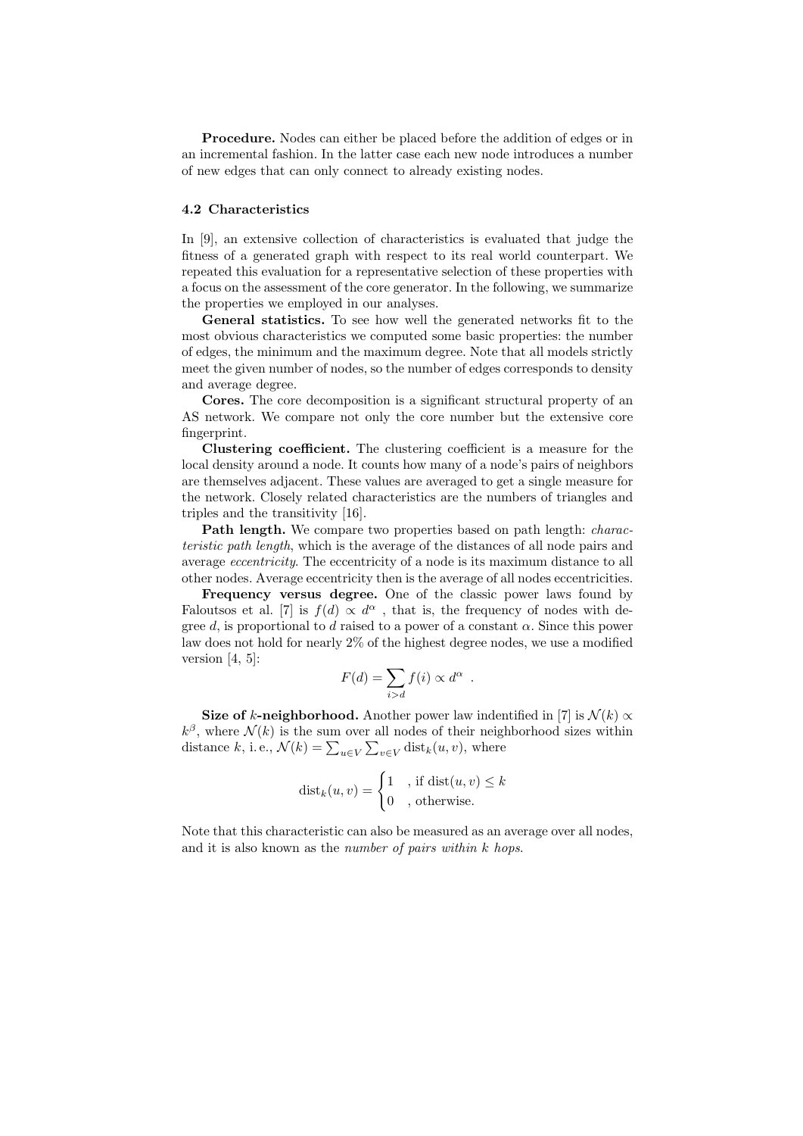Procedure. Nodes can either be placed before the addition of edges or in an incremental fashion. In the latter case each new node introduces a number of new edges that can only connect to already existing nodes.

#### 4.2 Characteristics

In [9], an extensive collection of characteristics is evaluated that judge the fitness of a generated graph with respect to its real world counterpart. We repeated this evaluation for a representative selection of these properties with a focus on the assessment of the core generator. In the following, we summarize the properties we employed in our analyses.

General statistics. To see how well the generated networks fit to the most obvious characteristics we computed some basic properties: the number of edges, the minimum and the maximum degree. Note that all models strictly meet the given number of nodes, so the number of edges corresponds to density and average degree.

Cores. The core decomposition is a significant structural property of an AS network. We compare not only the core number but the extensive core fingerprint.

Clustering coefficient. The clustering coefficient is a measure for the local density around a node. It counts how many of a node's pairs of neighbors are themselves adjacent. These values are averaged to get a single measure for the network. Closely related characteristics are the numbers of triangles and triples and the transitivity [16].

Path length. We compare two properties based on path length: *charac*teristic path length, which is the average of the distances of all node pairs and average eccentricity. The eccentricity of a node is its maximum distance to all other nodes. Average eccentricity then is the average of all nodes eccentricities.

Frequency versus degree. One of the classic power laws found by Faloutsos et al. [7] is  $f(d) \propto d^{\alpha}$ , that is, the frequency of nodes with degree d, is proportional to d raised to a power of a constant  $\alpha$ . Since this power law does not hold for nearly 2% of the highest degree nodes, we use a modified version  $[4, 5]$ :

$$
F(d) = \sum_{i>d} f(i) \propto d^{\alpha} .
$$

Size of k-neighborhood. Another power law indentified in [7] is  $\mathcal{N}(k) \propto$  $k^{\beta}$ , where  $\mathcal{N}(k)$  is the sum over all nodes of their neighborhood sizes within distance k, i.e.,  $\mathcal{N}(k) = \sum_{u \in V} \sum_{v \in V} \text{dist}_k(u, v)$ , where

$$
dist_k(u, v) = \begin{cases} 1, & \text{if } dist(u, v) \le k \\ 0, & \text{otherwise.} \end{cases}
$$

Note that this characteristic can also be measured as an average over all nodes, and it is also known as the number of pairs within k hops.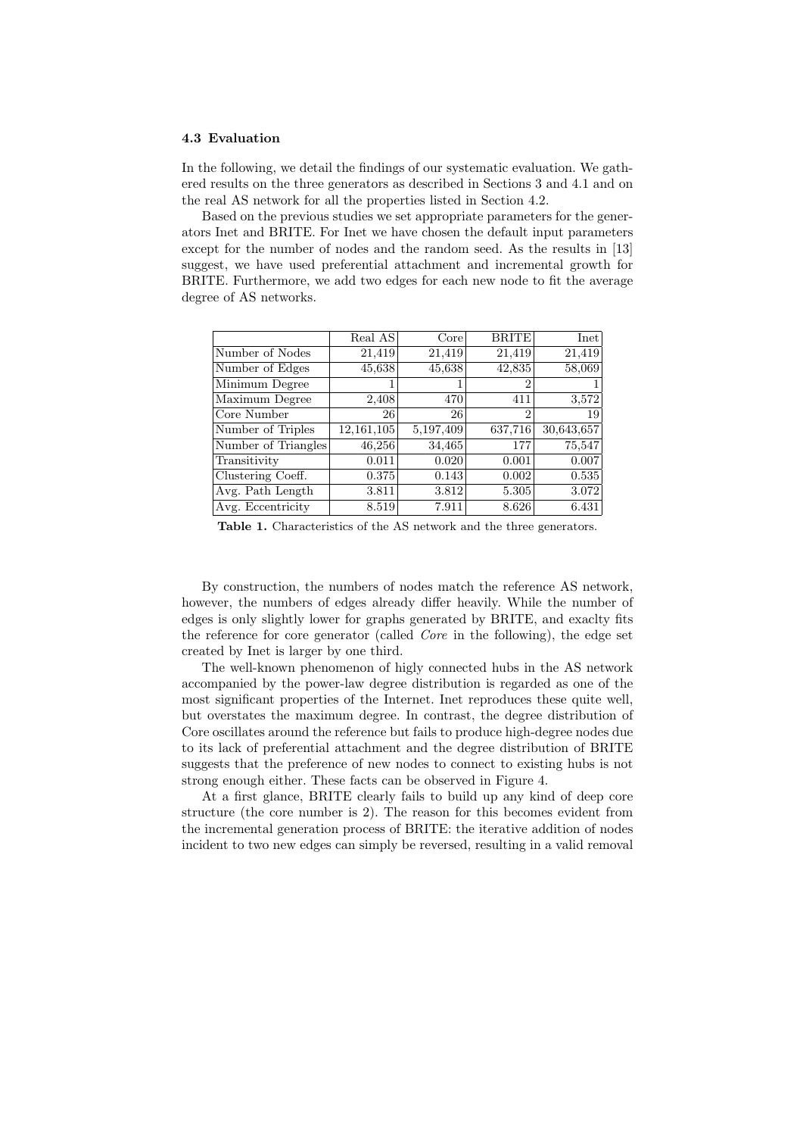#### 4.3 Evaluation

In the following, we detail the findings of our systematic evaluation. We gathered results on the three generators as described in Sections 3 and 4.1 and on the real AS network for all the properties listed in Section 4.2.

Based on the previous studies we set appropriate parameters for the generators Inet and BRITE. For Inet we have chosen the default input parameters except for the number of nodes and the random seed. As the results in [13] suggest, we have used preferential attachment and incremental growth for BRITE. Furthermore, we add two edges for each new node to fit the average degree of AS networks.

|                     | Real AS    | Core <sup>1</sup> | <b>BRITE</b>   | Inet       |
|---------------------|------------|-------------------|----------------|------------|
| Number of Nodes     | 21,419     | 21,419            | 21,419         | 21,419     |
| Number of Edges     | 45,638     | 45,638            | 42,835         | 58,069     |
| Minimum Degree      |            |                   | $\overline{2}$ |            |
| Maximum Degree      | 2,408      | 470               | 411            | 3,572      |
| Core Number         | 26         | 26                | $\overline{2}$ | 19         |
| Number of Triples   | 12,161,105 | 5,197,409         | 637,716        | 30,643,657 |
| Number of Triangles | 46,256     | 34,465            | 177            | 75,547     |
| Transitivity        | 0.011      | 0.020             | 0.001          | 0.007      |
| Clustering Coeff.   | 0.375      | 0.143             | 0.002          | 0.535      |
| Avg. Path Length    | 3.811      | 3.812             | 5.305          | 3.072      |
| Avg. Eccentricity   | 8.519      | 7.911             | 8.626          | 6.431      |

Table 1. Characteristics of the AS network and the three generators.

By construction, the numbers of nodes match the reference AS network, however, the numbers of edges already differ heavily. While the number of edges is only slightly lower for graphs generated by BRITE, and exaclty fits the reference for core generator (called Core in the following), the edge set created by Inet is larger by one third.

The well-known phenomenon of higly connected hubs in the AS network accompanied by the power-law degree distribution is regarded as one of the most significant properties of the Internet. Inet reproduces these quite well, but overstates the maximum degree. In contrast, the degree distribution of Core oscillates around the reference but fails to produce high-degree nodes due to its lack of preferential attachment and the degree distribution of BRITE suggests that the preference of new nodes to connect to existing hubs is not strong enough either. These facts can be observed in Figure 4.

At a first glance, BRITE clearly fails to build up any kind of deep core structure (the core number is 2). The reason for this becomes evident from the incremental generation process of BRITE: the iterative addition of nodes incident to two new edges can simply be reversed, resulting in a valid removal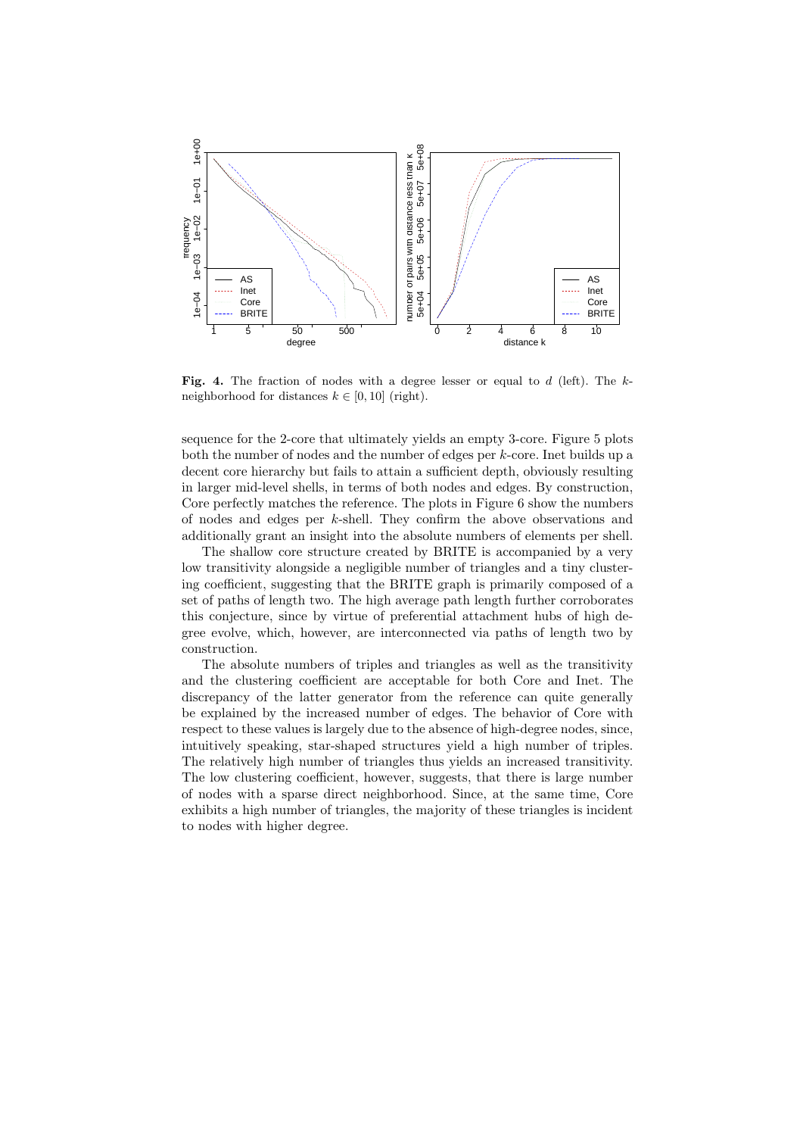

Fig. 4. The fraction of nodes with a degree lesser or equal to  $d$  (left). The  $k$ neighborhood for distances  $k \in [0, 10]$  (right).

sequence for the 2-core that ultimately yields an empty 3-core. Figure 5 plots both the number of nodes and the number of edges per k-core. Inet builds up a decent core hierarchy but fails to attain a sufficient depth, obviously resulting in larger mid-level shells, in terms of both nodes and edges. By construction, Core perfectly matches the reference. The plots in Figure 6 show the numbers of nodes and edges per k-shell. They confirm the above observations and additionally grant an insight into the absolute numbers of elements per shell.

The shallow core structure created by BRITE is accompanied by a very low transitivity alongside a negligible number of triangles and a tiny clustering coefficient, suggesting that the BRITE graph is primarily composed of a set of paths of length two. The high average path length further corroborates this conjecture, since by virtue of preferential attachment hubs of high degree evolve, which, however, are interconnected via paths of length two by construction.

The absolute numbers of triples and triangles as well as the transitivity and the clustering coefficient are acceptable for both Core and Inet. The discrepancy of the latter generator from the reference can quite generally be explained by the increased number of edges. The behavior of Core with respect to these values is largely due to the absence of high-degree nodes, since, intuitively speaking, star-shaped structures yield a high number of triples. The relatively high number of triangles thus yields an increased transitivity. The low clustering coefficient, however, suggests, that there is large number of nodes with a sparse direct neighborhood. Since, at the same time, Core exhibits a high number of triangles, the majority of these triangles is incident to nodes with higher degree.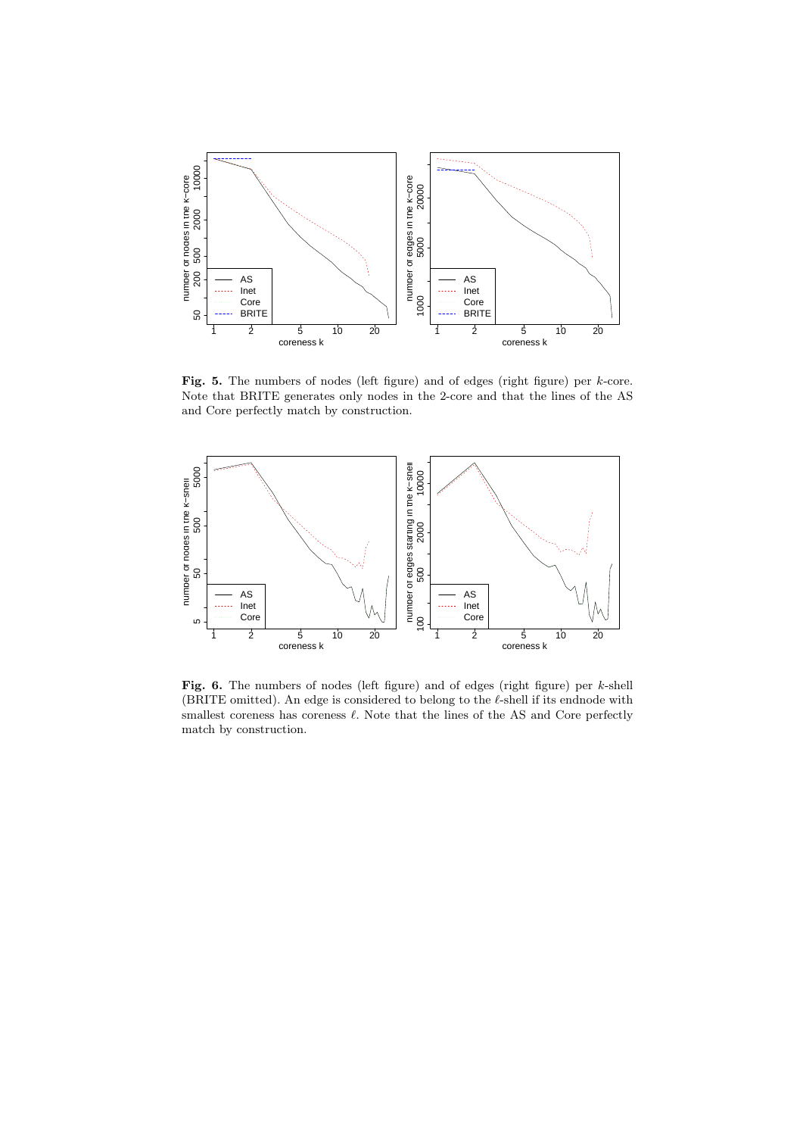

Fig. 5. The numbers of nodes (left figure) and of edges (right figure) per  $k$ -core. Note that BRITE generates only nodes in the 2-core and that the lines of the AS and Core perfectly match by construction.



Fig. 6. The numbers of nodes (left figure) and of edges (right figure) per k-shell (BRITE omitted). An edge is considered to belong to the  $\ell$ -shell if its endnode with smallest coreness has coreness  $\ell$ . Note that the lines of the AS and Core perfectly match by construction.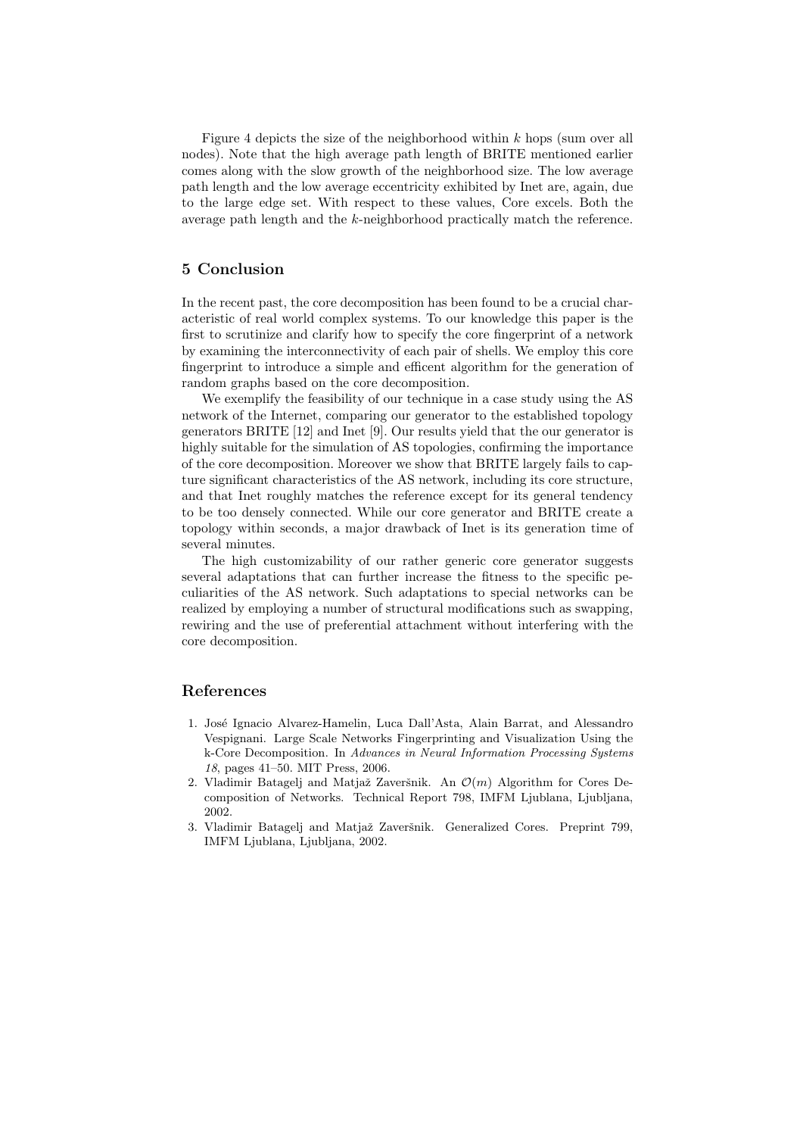Figure 4 depicts the size of the neighborhood within  $k$  hops (sum over all nodes). Note that the high average path length of BRITE mentioned earlier comes along with the slow growth of the neighborhood size. The low average path length and the low average eccentricity exhibited by Inet are, again, due to the large edge set. With respect to these values, Core excels. Both the average path length and the k-neighborhood practically match the reference.

### 5 Conclusion

In the recent past, the core decomposition has been found to be a crucial characteristic of real world complex systems. To our knowledge this paper is the first to scrutinize and clarify how to specify the core fingerprint of a network by examining the interconnectivity of each pair of shells. We employ this core fingerprint to introduce a simple and efficent algorithm for the generation of random graphs based on the core decomposition.

We exemplify the feasibility of our technique in a case study using the AS network of the Internet, comparing our generator to the established topology generators BRITE [12] and Inet [9]. Our results yield that the our generator is highly suitable for the simulation of AS topologies, confirming the importance of the core decomposition. Moreover we show that BRITE largely fails to capture significant characteristics of the AS network, including its core structure, and that Inet roughly matches the reference except for its general tendency to be too densely connected. While our core generator and BRITE create a topology within seconds, a major drawback of Inet is its generation time of several minutes.

The high customizability of our rather generic core generator suggests several adaptations that can further increase the fitness to the specific peculiarities of the AS network. Such adaptations to special networks can be realized by employing a number of structural modifications such as swapping, rewiring and the use of preferential attachment without interfering with the core decomposition.

#### References

- 1. Jos´e Ignacio Alvarez-Hamelin, Luca Dall'Asta, Alain Barrat, and Alessandro Vespignani. Large Scale Networks Fingerprinting and Visualization Using the k-Core Decomposition. In Advances in Neural Information Processing Systems 18, pages 41–50. MIT Press, 2006.
- 2. Vladimir Batagelj and Matjaž Zaveršnik. An  $\mathcal{O}(m)$  Algorithm for Cores Decomposition of Networks. Technical Report 798, IMFM Ljublana, Ljubljana, 2002.
- 3. Vladimir Batagelj and Matjaž Zaveršnik. Generalized Cores. Preprint 799, IMFM Ljublana, Ljubljana, 2002.